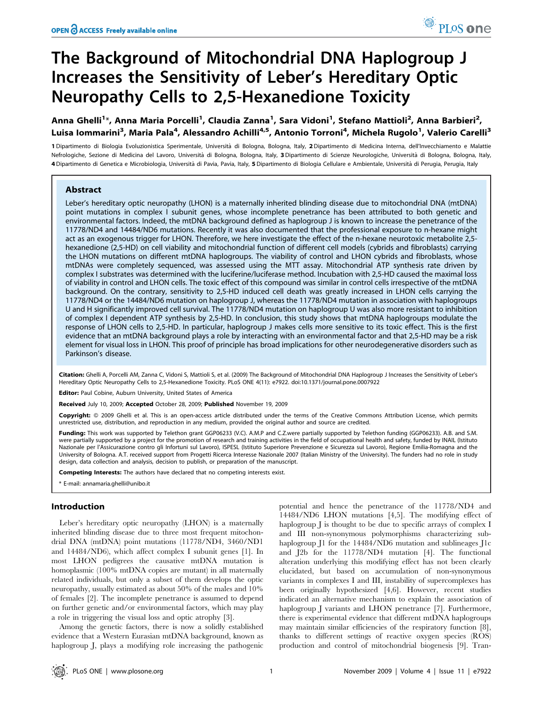# The Background of Mitochondrial DNA Haplogroup J Increases the Sensitivity of Leber's Hereditary Optic Neuropathy Cells to 2,5-Hexanedione Toxicity

Anna Ghelli<sup>1</sup>\*, Anna Maria Porcelli<sup>1</sup>, Claudia Zanna<sup>1</sup>, Sara Vidoni<sup>1</sup>, Stefano Mattioli<sup>2</sup>, Anna Barbieri<sup>2</sup>, Luisa Iommarini<sup>3</sup>, Maria Pala<sup>4</sup>, Alessandro Achilli<sup>4,5</sup>, Antonio Torroni<sup>4</sup>, Michela Rugolo<sup>1</sup>, Valerio Carelli<sup>3</sup>

1 Dipartimento di Biologia Evoluzionistica Sperimentale, Università di Bologna, Bologna, Italy, 2 Dipartimento di Medicina Interna, dell'Invecchiamento e Malattie Nefrologiche, Sezione di Medicina del Lavoro, Università di Bologna, Bologna, Italy, 3 Dipartimento di Scienze Neurologiche, Università di Bologna, Bologna, Italy, 4 Dipartimento di Genetica e Microbiologia, Università di Pavia, Pavia, Italy, 5 Dipartimento di Biologia Cellulare e Ambientale, Università di Perugia, Perugia, Italy

# Abstract

Leber's hereditary optic neuropathy (LHON) is a maternally inherited blinding disease due to mitochondrial DNA (mtDNA) point mutations in complex I subunit genes, whose incomplete penetrance has been attributed to both genetic and environmental factors. Indeed, the mtDNA background defined as haplogroup J is known to increase the penetrance of the 11778/ND4 and 14484/ND6 mutations. Recently it was also documented that the professional exposure to n-hexane might act as an exogenous trigger for LHON. Therefore, we here investigate the effect of the n-hexane neurotoxic metabolite 2,5 hexanedione (2,5-HD) on cell viability and mitochondrial function of different cell models (cybrids and fibroblasts) carrying the LHON mutations on different mtDNA haplogroups. The viability of control and LHON cybrids and fibroblasts, whose mtDNAs were completely sequenced, was assessed using the MTT assay. Mitochondrial ATP synthesis rate driven by complex I substrates was determined with the luciferine/luciferase method. Incubation with 2,5-HD caused the maximal loss of viability in control and LHON cells. The toxic effect of this compound was similar in control cells irrespective of the mtDNA background. On the contrary, sensitivity to 2,5-HD induced cell death was greatly increased in LHON cells carrying the 11778/ND4 or the 14484/ND6 mutation on haplogroup J, whereas the 11778/ND4 mutation in association with haplogroups U and H significantly improved cell survival. The 11778/ND4 mutation on haplogroup U was also more resistant to inhibition of complex I dependent ATP synthesis by 2,5-HD. In conclusion, this study shows that mtDNA haplogroups modulate the response of LHON cells to 2,5-HD. In particular, haplogroup J makes cells more sensitive to its toxic effect. This is the first evidence that an mtDNA background plays a role by interacting with an environmental factor and that 2,5-HD may be a risk element for visual loss in LHON. This proof of principle has broad implications for other neurodegenerative disorders such as Parkinson's disease.

Citation: Ghelli A, Porcelli AM, Zanna C, Vidoni S, Mattioli S, et al. (2009) The Background of Mitochondrial DNA Haplogroup J Increases the Sensitivity of Leber's Hereditary Optic Neuropathy Cells to 2,5-Hexanedione Toxicity. PLoS ONE 4(11): e7922. doi:10.1371/journal.pone.0007922

Editor: Paul Cobine, Auburn University, United States of America

Received July 10, 2009; Accepted October 28, 2009; Published November 19, 2009

Copyright: @ 2009 Ghelli et al. This is an open-access article distributed under the terms of the Creative Commons Attribution License, which permits unrestricted use, distribution, and reproduction in any medium, provided the original author and source are credited.

Funding: This work was supported by Telethon grant GGP06233 (V.C). A.M.P and C.Z.were partially supported by Telethon funding (GGP06233). A.B. and S.M. were partially supported by a project for the promotion of research and training activities in the field of occupational health and safety, funded by INAIL (Istituto Nazionale per l'Assicurazione contro gli Infortuni sul Lavoro), ISPESL (Istituto Superiore Prevenzione e Sicurezza sul Lavoro), Regione Emilia-Romagna and the University of Bologna. A.T. received support from Progetti Ricerca Interesse Nazionale 2007 (Italian Ministry of the University). The funders had no role in study design, data collection and analysis, decision to publish, or preparation of the manuscript.

Competing Interests: The authors have declared that no competing interests exist.

\* E-mail: annamaria.ghelli@unibo.it

# Introduction

Leber's hereditary optic neuropathy (LHON) is a maternally inherited blinding disease due to three most frequent mitochondrial DNA (mtDNA) point mutations (11778/ND4, 3460/ND1 and 14484/ND6), which affect complex I subunit genes [1]. In most LHON pedigrees the causative mtDNA mutation is homoplasmic (100% mtDNA copies are mutant) in all maternally related individuals, but only a subset of them develops the optic neuropathy, usually estimated as about 50% of the males and 10% of females [2]. The incomplete penetrance is assumed to depend on further genetic and/or environmental factors, which may play a role in triggering the visual loss and optic atrophy [3].

Among the genetic factors, there is now a solidly established evidence that a Western Eurasian mtDNA background, known as haplogroup J, plays a modifying role increasing the pathogenic potential and hence the penetrance of the 11778/ND4 and 14484/ND6 LHON mutations [4,5]. The modifying effect of haplogroup J is thought to be due to specific arrays of complex I and III non-synonymous polymorphisms characterizing subhaplogroup J1 for the 14484/ND6 mutation and sublineages J1c and J2b for the 11778/ND4 mutation [4]. The functional alteration underlying this modifying effect has not been clearly elucidated, but based on accumulation of non-synonymous variants in complexes I and III, instability of supercomplexes has been originally hypothesized [4,6]. However, recent studies indicated an alternative mechanism to explain the association of haplogroup J variants and LHON penetrance [7]. Furthermore, there is experimental evidence that different mtDNA haplogroups may maintain similar efficiencies of the respiratory function [8], thanks to different settings of reactive oxygen species (ROS) production and control of mitochondrial biogenesis [9]. Tran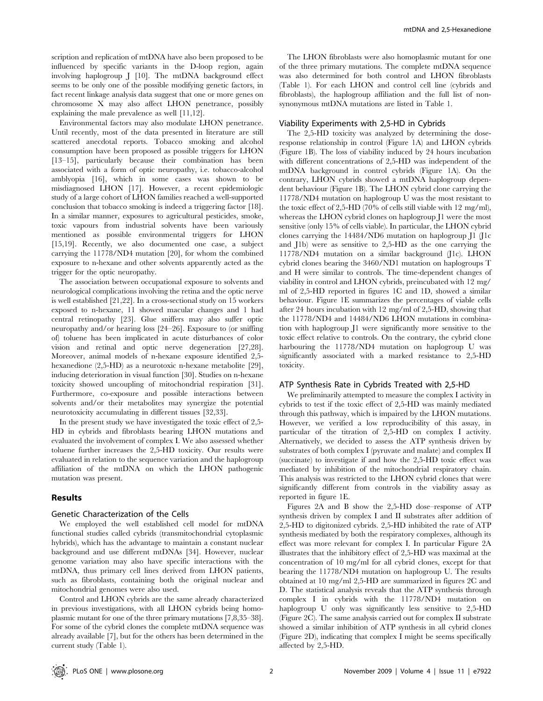scription and replication of mtDNA have also been proposed to be influenced by specific variants in the D-loop region, again involving haplogroup J [10]. The mtDNA background effect seems to be only one of the possible modifying genetic factors, in fact recent linkage analysis data suggest that one or more genes on chromosome X may also affect LHON penetrance, possibly explaining the male prevalence as well [11,12].

Environmental factors may also modulate LHON penetrance. Until recently, most of the data presented in literature are still scattered anecdotal reports. Tobacco smoking and alcohol consumption have been proposed as possible triggers for LHON [13–15], particularly because their combination has been associated with a form of optic neuropathy, i.e. tobacco-alcohol amblyopia [16], which in some cases was shown to be misdiagnosed LHON [17]. However, a recent epidemiologic study of a large cohort of LHON families reached a well-supported conclusion that tobacco smoking is indeed a triggering factor [18]. In a similar manner, exposures to agricultural pesticides, smoke, toxic vapours from industrial solvents have been variously mentioned as possible environmental triggers for LHON [15,19]. Recently, we also documented one case, a subject carrying the 11778/ND4 mutation [20], for whom the combined exposure to n-hexane and other solvents apparently acted as the trigger for the optic neuropathy.

The association between occupational exposure to solvents and neurological complications involving the retina and the optic nerve is well established [21,22]. In a cross-sectional study on 15 workers exposed to n-hexane, 11 showed macular changes and 1 had central retinopathy [23]. Glue sniffers may also suffer optic neuropathy and/or hearing loss [24–26]. Exposure to (or sniffing of) toluene has been implicated in acute disturbances of color vision and retinal and optic nerve degeneration [27,28]. Moreover, animal models of n-hexane exposure identified 2,5 hexanedione (2,5-HD) as a neurotoxic n-hexane metabolite [29], inducing deterioration in visual function [30]. Studies on n-hexane toxicity showed uncoupling of mitochondrial respiration [31]. Furthermore, co-exposure and possible interactions between solvents and/or their metabolites may synergize the potential neurotoxicity accumulating in different tissues [32,33].

In the present study we have investigated the toxic effect of 2,5- HD in cybrids and fibroblasts bearing LHON mutations and evaluated the involvement of complex I. We also assessed whether toluene further increases the 2,5-HD toxicity. Our results were evaluated in relation to the sequence variation and the haplogroup affiliation of the mtDNA on which the LHON pathogenic mutation was present.

## Results

## Genetic Characterization of the Cells

We employed the well established cell model for mtDNA functional studies called cybrids (transmitochondrial cytoplasmic hybrids), which has the advantage to maintain a constant nuclear background and use different mtDNAs [34]. However, nuclear genome variation may also have specific interactions with the mtDNA, thus primary cell lines derived from LHON patients, such as fibroblasts, containing both the original nuclear and mitochondrial genomes were also used.

Control and LHON cybrids are the same already characterized in previous investigations, with all LHON cybrids being homoplasmic mutant for one of the three primary mutations [7,8,35–38]. For some of the cybrid clones the complete mtDNA sequence was already available [7], but for the others has been determined in the current study (Table 1).

The LHON fibroblasts were also homoplasmic mutant for one of the three primary mutations. The complete mtDNA sequence was also determined for both control and LHON fibroblasts (Table 1). For each LHON and control cell line (cybrids and fibroblasts), the haplogroup affiliation and the full list of nonsynonymous mtDNA mutations are listed in Table 1.

#### Viability Experiments with 2,5-HD in Cybrids

The 2,5-HD toxicity was analyzed by determining the doseresponse relationship in control (Figure 1A) and LHON cybrids (Figure 1B). The loss of viability induced by 24 hours incubation with different concentrations of 2,5-HD was independent of the mtDNA background in control cybrids (Figure 1A). On the contrary, LHON cybrids showed a mtDNA haplogroup dependent behaviour (Figure 1B). The LHON cybrid clone carrying the 11778/ND4 mutation on haplogroup U was the most resistant to the toxic effect of 2,5-HD (70% of cells still viable with 12 mg/ml), whereas the LHON cybrid clones on haplogroup J1 were the most sensitive (only 15% of cells viable). In particular, the LHON cybrid clones carrying the 14484/ND6 mutation on haplogroup J1 (J1c and J1b) were as sensitive to 2,5-HD as the one carrying the 11778/ND4 mutation on a similar background (J1c). LHON cybrid clones bearing the 3460/ND1 mutation on haplogroups T and H were similar to controls. The time-dependent changes of viability in control and LHON cybrids, preincubated with 12 mg/ ml of 2,5-HD reported in figures 1C and 1D, showed a similar behaviour. Figure 1E summarizes the percentages of viable cells after 24 hours incubation with 12 mg/ml of 2,5-HD, showing that the 11778/ND4 and 14484/ND6 LHON mutations in combination with haplogroup J1 were significantly more sensitive to the toxic effect relative to controls. On the contrary, the cybrid clone harbouring the 11778/ND4 mutation on haplogroup U was significantly associated with a marked resistance to 2,5-HD toxicity.

# ATP Synthesis Rate in Cybrids Treated with 2,5-HD

We preliminarily attempted to measure the complex I activity in cybrids to test if the toxic effect of 2,5-HD was mainly mediated through this pathway, which is impaired by the LHON mutations. However, we verified a low reproducibility of this assay, in particular of the titration of 2,5-HD on complex I activity. Alternatively, we decided to assess the ATP synthesis driven by substrates of both complex I (pyruvate and malate) and complex II (succinate) to investigate if and how the 2,5-HD toxic effect was mediated by inhibition of the mitochondrial respiratory chain. This analysis was restricted to the LHON cybrid clones that were significantly different from controls in the viability assay as reported in figure 1E.

Figures 2A and B show the 2,5-HD dose–response of ATP synthesis driven by complex I and II substrates after addition of 2,5-HD to digitonized cybrids. 2,5-HD inhibited the rate of ATP synthesis mediated by both the respiratory complexes, although its effect was more relevant for complex I. In particular Figure 2A illustrates that the inhibitory effect of 2,5-HD was maximal at the concentration of 10 mg/ml for all cybrid clones, except for that bearing the 11778/ND4 mutation on haplogroup U. The results obtained at 10 mg/ml 2,5-HD are summarized in figures 2C and D. The statistical analysis reveals that the ATP synthesis through complex I in cybrids with the 11778/ND4 mutation on haplogroup U only was significantly less sensitive to 2,5-HD (Figure 2C). The same analysis carried out for complex II substrate showed a similar inhibition of ATP synthesis in all cybrid clones (Figure 2D), indicating that complex I might be seems specifically affected by 2,5-HD.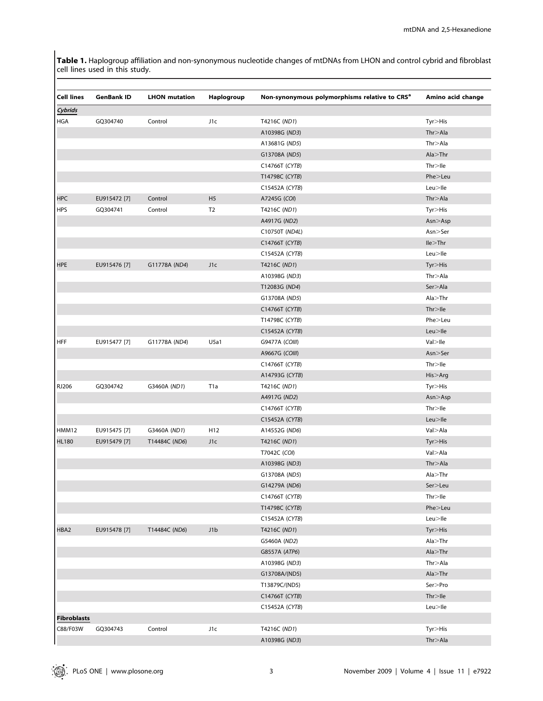Table 1. Haplogroup affiliation and non-synonymous nucleotide changes of mtDNAs from LHON and control cybrid and fibroblast cell lines used in this study.

| <b>Cell lines</b>  | <b>GenBank ID</b> | <b>LHON</b> mutation | Haplogroup     | Non-synonymous polymorphisms relative to CRS <sup>a</sup> | Amino acid change    |
|--------------------|-------------------|----------------------|----------------|-----------------------------------------------------------|----------------------|
| Cybrids            |                   |                      |                |                                                           |                      |
| <b>HGA</b>         | GQ304740          | Control              | J1c            | T4216C (ND1)                                              | Tyr>His              |
|                    |                   |                      |                | A10398G (ND3)                                             | Thr > Ala            |
|                    |                   |                      |                | A13681G (ND5)                                             | Thr > Ala            |
|                    |                   |                      |                | G13708A (ND5)                                             | Ala > Thr            |
|                    |                   |                      |                | C14766T (CYTB)                                            | Thr > He             |
|                    |                   |                      |                | T14798C (CYTB)                                            | Phe>Leu              |
|                    |                   |                      |                | C15452A (CYTB)                                            | $Leu>$ lle           |
| <b>HPC</b>         | EU915472 [7]      | Control              | H <sub>5</sub> | A7245G (COI)                                              | Thr > Ala            |
| <b>HPS</b>         | GQ304741          | Control              | T <sub>2</sub> | T4216C (ND1)                                              | $Tyr > H$ is         |
|                    |                   |                      |                | A4917G (ND2)                                              | Asn > Asp            |
|                    |                   |                      |                | C10750T (ND4L)                                            | Asn>Ser              |
|                    |                   |                      |                | C14766T (CYTB)                                            | lle>Thr              |
|                    |                   |                      |                | C15452A (CYTB)                                            | $Leu>$ lle           |
| <b>HPE</b>         | EU915476 [7]      | G11778A (ND4)        | J1c            | T4216C (ND1)                                              | Tyr > His            |
|                    |                   |                      |                | A10398G (ND3)                                             | Thr > Ala            |
|                    |                   |                      |                | T12083G (ND4)                                             | Ser>Ala              |
|                    |                   |                      |                | G13708A (ND5)                                             | Ala > Thr            |
|                    |                   |                      |                | C14766T (CYTB)                                            | Thr > He             |
|                    |                   |                      |                | T14798C (CYTB)                                            | Phe>Leu              |
|                    |                   |                      |                | C15452A (CYTB)                                            | Leu>lle              |
| <b>HFF</b>         | EU915477 [7]      | G11778A (ND4)        | U5a1           | G9477A (COIII)                                            | $Val >$ lle          |
|                    |                   |                      |                | A9667G (COIII)                                            | Asn > Ser            |
|                    |                   |                      |                | C14766T (CYTB)                                            | Thr > He             |
|                    |                   |                      |                | A14793G (CYTB)                                            | His>Arg              |
| <b>RJ206</b>       | GQ304742          | G3460A (ND1)         | T1a            | T4216C (ND1)                                              | Tyr>His              |
|                    |                   |                      |                | A4917G (ND2)                                              | Asn > Asp            |
|                    |                   |                      |                | C14766T (CYTB)                                            | Thr > He             |
|                    |                   |                      |                | C15452A (CYTB)                                            | $Leu>$ lle           |
| HMM12              | EU915475 [7]      | G3460A (ND1)         | H12            | A14552G (ND6)                                             | Val>Ala              |
| <b>HL180</b>       | EU915479 [7]      | T14484C (ND6)        | J1c            | T4216C (ND1)                                              | Tyr>His              |
|                    |                   |                      |                | T7042C (COI)                                              | Val>Ala              |
|                    |                   |                      |                |                                                           | Thr > Ala            |
|                    |                   |                      |                | A10398G (ND3)                                             |                      |
|                    |                   |                      |                | G13708A (ND5)                                             | Ala > Thr<br>Ser>Leu |
|                    |                   |                      |                | G14279A (ND6)                                             | $Thr >$ lle          |
|                    |                   |                      |                | C14766T (CYTB)<br>T14798C (CYTB)                          | Phe>Leu              |
|                    |                   |                      |                | C15452A (CYTB)                                            | $Leu>$ lle           |
|                    |                   |                      | J1b            |                                                           |                      |
| HBA2               | EU915478 [7]      | T14484C (ND6)        |                | T4216C (ND1)                                              | Tyr>His              |
|                    |                   |                      |                | G5460A (ND2)                                              | Ala > Thr            |
|                    |                   |                      |                | G8557A (ATP6)                                             | Ala > Thr            |
|                    |                   |                      |                | A10398G (ND3)                                             | Thr > Ala            |
|                    |                   |                      |                | G13708A/(ND5)                                             | Ala > Thr            |
|                    |                   |                      |                | T13879C/(ND5)                                             | Ser>Pro              |
|                    |                   |                      |                | C14766T (CYTB)                                            | Thr > He             |
|                    |                   |                      |                | C15452A (CYTB)                                            | $Leu>$ lle           |
| <b>Fibroblasts</b> |                   |                      |                |                                                           |                      |
| C88/F03W           | GQ304743          | Control              | J1c            | T4216C (ND1)                                              | Tyr>His              |
|                    |                   |                      |                | A10398G (ND3)                                             | Thr > Ala            |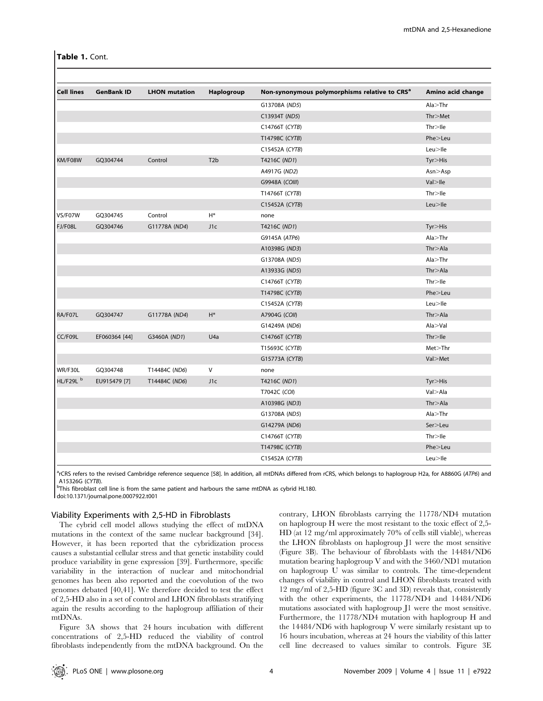Table 1. Cont.

| <b>Cell lines</b> | <b>GenBank ID</b> | <b>LHON</b> mutation | Haplogroup       | Non-synonymous polymorphisms relative to CRS <sup>a</sup> | Amino acid change |
|-------------------|-------------------|----------------------|------------------|-----------------------------------------------------------|-------------------|
|                   |                   |                      |                  | G13708A (ND5)                                             | Ala > Thr         |
|                   |                   |                      |                  | C13934T (ND5)                                             | Thr>Met           |
|                   |                   |                      |                  | C14766T (CYTB)                                            | $Thr >$ lle       |
|                   |                   |                      |                  | T14798C (CYTB)                                            | Phe>Leu           |
|                   |                   |                      |                  | C15452A (CYTB)                                            | $Leu>$ lle        |
| KM/F08W           | GQ304744          | Control              | T <sub>2</sub> b | T4216C (ND1)                                              | Tyr > His         |
|                   |                   |                      |                  | A4917G (ND2)                                              | Asn > Asp         |
|                   |                   |                      |                  | G9948A (COIII)                                            | $Val >$ lle       |
|                   |                   |                      |                  | T14766T (CYTB)                                            | $Thr >$ lle       |
|                   |                   |                      |                  | C15452A (CYTB)                                            | $Leu>$ lle        |
| VS/F07W           | GQ304745          | Control              | $H^*$            | none                                                      |                   |
| FJ/F08L           | GQ304746          | G11778A (ND4)        | J1c              | T4216C (ND1)                                              | Tyr > His         |
|                   |                   |                      |                  | G9145A (ATP6)                                             | Ala > Thr         |
|                   |                   |                      |                  | A10398G (ND3)                                             | Thr > Ala         |
|                   |                   |                      |                  | G13708A (ND5)                                             | Ala > Thr         |
|                   |                   |                      |                  | A13933G (ND5)                                             | Thr > Ala         |
|                   |                   |                      |                  | C14766T (CYTB)                                            | $Thr >$ Ile       |
|                   |                   |                      |                  | T14798C (CYTB)                                            | Phe>Leu           |
|                   |                   |                      |                  | C15452A (CYTB)                                            | $Leu>$ lle        |
| RA/F07L           | GQ304747          | G11778A (ND4)        | $H^*$            | A7904G (COII)                                             | Thr > Ala         |
|                   |                   |                      |                  | G14249A (ND6)                                             | Ala > Val         |
| CC/F09L           | EF060364 [44]     | G3460A (ND1)         | U4a              | C14766T (CYTB)                                            | Thr > He          |
|                   |                   |                      |                  | T15693C (CYTB)                                            | $Met >$ Thr       |
|                   |                   |                      |                  | G15773A (CYTB)                                            | Val>Met           |
| WR/F30L           | GQ304748          | T14484C (ND6)        | $\vee$           | none                                                      |                   |
| HL/F29L b         | EU915479 [7]      | T14484C (ND6)        | J1c              | T4216C (ND1)                                              | $Tyr > H$ is      |
|                   |                   |                      |                  | T7042C (COI)                                              | Val > Ala         |
|                   |                   |                      |                  | A10398G (ND3)                                             | Thr > Ala         |
|                   |                   |                      |                  | G13708A (ND5)                                             | Ala > Thr         |
|                   |                   |                      |                  | G14279A (ND6)                                             | Ser>Leu           |
|                   |                   |                      |                  | C14766T (CYTB)                                            | $Thr >$ Ile       |
|                   |                   |                      |                  | T14798C (CYTB)                                            | Phe>Leu           |
|                   |                   |                      |                  | C15452A (CYTB)                                            | $Leu>$ lle        |

<sup>a</sup>rCRS refers to the revised Cambridge reference sequence [58]. In addition, all mtDNAs differed from rCRS, which belongs to haplogroup H2a, for A8860G (ATP6) and A15326G (CYTB). <sup>b</sup>

<sup>b</sup>This fibroblast cell line is from the same patient and harbours the same mtDNA as cybrid HL180.

doi:10.1371/journal.pone.0007922.t001

# Viability Experiments with 2,5-HD in Fibroblasts

The cybrid cell model allows studying the effect of mtDNA mutations in the context of the same nuclear background [34]. However, it has been reported that the cybridization process causes a substantial cellular stress and that genetic instability could produce variability in gene expression [39]. Furthermore, specific variability in the interaction of nuclear and mitochondrial genomes has been also reported and the coevolution of the two genomes debated [40,41]. We therefore decided to test the effect of 2,5-HD also in a set of control and LHON fibroblasts stratifying again the results according to the haplogroup affiliation of their mtDNAs.

Figure 3A shows that 24 hours incubation with different concentrations of 2,5-HD reduced the viability of control fibroblasts independently from the mtDNA background. On the

contrary, LHON fibroblasts carrying the 11778/ND4 mutation on haplogroup H were the most resistant to the toxic effect of 2,5- HD (at 12 mg/ml approximately 70% of cells still viable), whereas the LHON fibroblasts on haplogroup J1 were the most sensitive (Figure 3B). The behaviour of fibroblasts with the 14484/ND6 mutation bearing haplogroup V and with the 3460/ND1 mutation on haplogroup U was similar to controls. The time-dependent changes of viability in control and LHON fibroblasts treated with 12 mg/ml of 2,5-HD (figure 3C and 3D) reveals that, consistently with the other experiments, the 11778/ND4 and 14484/ND6 mutations associated with haplogroup J1 were the most sensitive. Furthermore, the 11778/ND4 mutation with haplogroup H and the 14484/ND6 with haplogroup V were similarly resistant up to 16 hours incubation, whereas at 24 hours the viability of this latter cell line decreased to values similar to controls. Figure 3E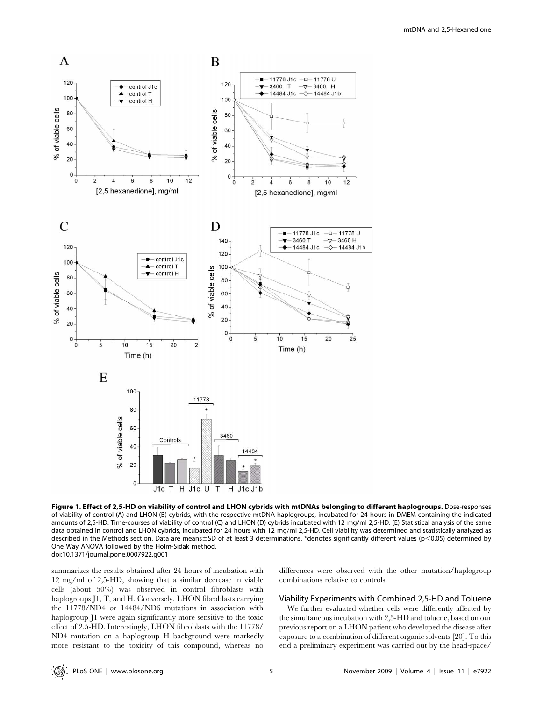

Figure 1. Effect of 2,5-HD on viability of control and LHON cybrids with mtDNAs belonging to different haplogroups. Dose-responses of viability of control (A) and LHON (B) cybrids, with the respective mtDNA haplogroups, incubated for 24 hours in DMEM containing the indicated amounts of 2,5-HD. Time-courses of viability of control (C) and LHON (D) cybrids incubated with 12 mg/ml 2,5-HD. (E) Statistical analysis of the same data obtained in control and LHON cybrids, incubated for 24 hours with 12 mg/ml 2,5-HD. Cell viability was determined and statistically analyzed as described in the Methods section. Data are means $\pm$ SD of at least 3 determinations. \*denotes significantly different values (p<0.05) determined by One Way ANOVA followed by the Holm-Sidak method. doi:10.1371/journal.pone.0007922.g001

summarizes the results obtained after 24 hours of incubation with 12 mg/ml of 2,5-HD, showing that a similar decrease in viable cells (about 50%) was observed in control fibroblasts with haplogroups J1, T, and H. Conversely, LHON fibroblasts carrying the 11778/ND4 or 14484/ND6 mutations in association with haplogroup J1 were again significantly more sensitive to the toxic effect of 2,5-HD. Interestingly, LHON fibroblasts with the 11778/ ND4 mutation on a haplogroup H background were markedly more resistant to the toxicity of this compound, whereas no differences were observed with the other mutation/haplogroup combinations relative to controls.

# Viability Experiments with Combined 2,5-HD and Toluene

We further evaluated whether cells were differently affected by the simultaneous incubation with 2,5-HD and toluene, based on our previous report on a LHON patient who developed the disease after exposure to a combination of different organic solvents [20]. To this end a preliminary experiment was carried out by the head-space/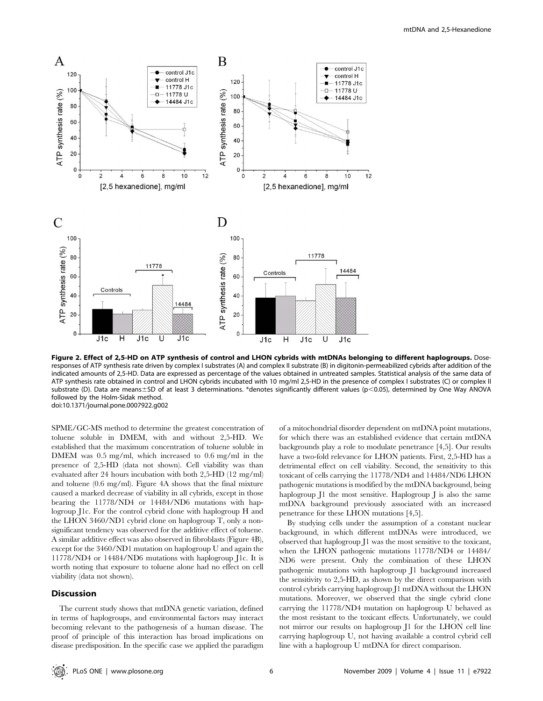

Figure 2. Effect of 2,5-HD on ATP synthesis of control and LHON cybrids with mtDNAs belonging to different haplogroups. Doseresponses of ATP synthesis rate driven by complex I substrates (A) and complex II substrate (B) in digitonin-permeabilized cybrids after addition of the indicated amounts of 2,5-HD. Data are expressed as percentage of the values obtained in untreated samples. Statistical analysis of the same data of ATP synthesis rate obtained in control and LHON cybrids incubated with 10 mg/ml 2,5-HD in the presence of complex I substrates (C) or complex II substrate (D). Data are means $\pm$ SD of at least 3 determinations. \*denotes significantly different values (p<0.05), determined by One Way ANOVA followed by the Holm-Sidak method. doi:10.1371/journal.pone.0007922.g002

SPME/GC-MS method to determine the greatest concentration of toluene soluble in DMEM, with and without 2,5-HD. We established that the maximum concentration of toluene soluble in DMEM was 0.5 mg/ml, which increased to 0.6 mg/ml in the presence of 2,5-HD (data not shown). Cell viability was than evaluated after 24 hours incubation with both 2,5-HD (12 mg/ml) and toluene (0.6 mg/ml). Figure 4A shows that the final mixture caused a marked decrease of viability in all cybrids, except in those bearing the 11778/ND4 or 14484/ND6 mutations with haplogroup J1c. For the control cybrid clone with haplogroup H and the LHON 3460/ND1 cybrid clone on haplogroup T, only a nonsignificant tendency was observed for the additive effect of toluene. A similar additive effect was also observed in fibroblasts (Figure 4B), except for the 3460/ND1 mutation on haplogroup U and again the 11778/ND4 or 14484/ND6 mutations with haplogroup J1c. It is worth noting that exposure to toluene alone had no effect on cell viability (data not shown).

# Discussion

The current study shows that mtDNA genetic variation, defined in terms of haplogroups, and environmental factors may interact becoming relevant to the pathogenesis of a human disease. The proof of principle of this interaction has broad implications on disease predisposition. In the specific case we applied the paradigm of a mitochondrial disorder dependent on mtDNA point mutations, for which there was an established evidence that certain mtDNA backgrounds play a role to modulate penetrance [4,5]. Our results have a two-fold relevance for LHON patients. First, 2,5-HD has a detrimental effect on cell viability. Second, the sensitivity to this toxicant of cells carrying the 11778/ND4 and 14484/ND6 LHON pathogenic mutations is modified by the mtDNA background, being haplogroup J1 the most sensitive. Haplogroup J is also the same mtDNA background previously associated with an increased penetrance for these LHON mutations [4,5].

By studying cells under the assumption of a constant nuclear background, in which different mtDNAs were introduced, we observed that haplogroup J1 was the most sensitive to the toxicant, when the LHON pathogenic mutations 11778/ND4 or 14484/ ND6 were present. Only the combination of these LHON pathogenic mutations with haplogroup J1 background increased the sensitivity to 2,5-HD, as shown by the direct comparison with control cybrids carrying haplogroup J1 mtDNA without the LHON mutations. Moreover, we observed that the single cybrid clone carrying the 11778/ND4 mutation on haplogroup U behaved as the most resistant to the toxicant effects. Unfortunately, we could not mirror our results on haplogroup J1 for the LHON cell line carrying haplogroup U, not having available a control cybrid cell line with a haplogroup U mtDNA for direct comparison.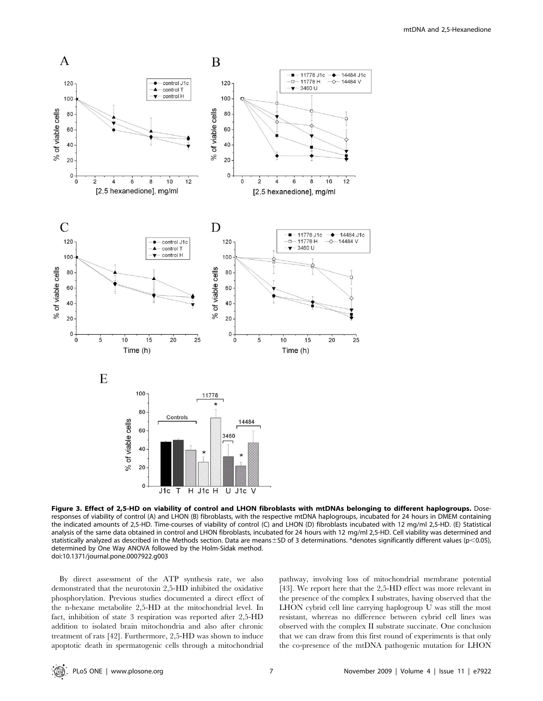

Figure 3. Effect of 2,5-HD on viability of control and LHON fibroblasts with mtDNAs belonging to different haplogroups. Doseresponses of viability of control (A) and LHON (B) fibroblasts, with the respective mtDNA haplogroups, incubated for 24 hours in DMEM containing the indicated amounts of 2,5-HD. Time-courses of viability of control (C) and LHON (D) fibroblasts incubated with 12 mg/ml 2,5-HD. (E) Statistical analysis of the same data obtained in control and LHON fibroblasts, incubated for 24 hours with 12 mg/ml 2,5-HD. Cell viability was determined and statistically analyzed as described in the Methods section. Data are means $\pm$ SD of 3 determinations. \*denotes significantly different values (p<0.05), determined by One Way ANOVA followed by the Holm-Sidak method. doi:10.1371/journal.pone.0007922.g003

By direct assessment of the ATP synthesis rate, we also demonstrated that the neurotoxin 2,5-HD inhibited the oxidative phosphorylation. Previous studies documented a direct effect of the n-hexane metabolite 2,5-HD at the mitochondrial level. In fact, inhibition of state 3 respiration was reported after 2,5-HD addition to isolated brain mitochondria and also after chronic treatment of rats [42]. Furthermore, 2,5-HD was shown to induce apoptotic death in spermatogenic cells through a mitochondrial

pathway, involving loss of mitochondrial membrane potential [43]. We report here that the 2,5-HD effect was more relevant in the presence of the complex I substrates, having observed that the LHON cybrid cell line carrying haplogroup U was still the most resistant, whereas no difference between cybrid cell lines was observed with the complex II substrate succinate. One conclusion that we can draw from this first round of experiments is that only the co-presence of the mtDNA pathogenic mutation for LHON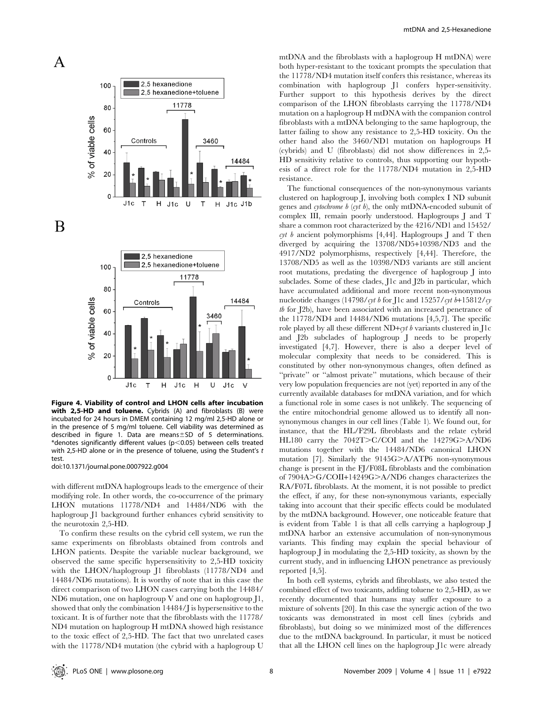

B



Figure 4. Viability of control and LHON cells after incubation with 2,5-HD and toluene. Cybrids (A) and fibroblasts (B) were incubated for 24 hours in DMEM containing 12 mg/ml 2,5-HD alone or in the presence of 5 mg/ml toluene. Cell viability was determined as described in figure 1. Data are means $\pm$ SD of 5 determinations. \*denotes significantly different values ( $p$ <0.05) between cells treated with 2,5-HD alone or in the presence of toluene, using the Student's t test.

doi:10.1371/journal.pone.0007922.g004

with different mtDNA haplogroups leads to the emergence of their modifying role. In other words, the co-occurrence of the primary LHON mutations 11778/ND4 and 14484/ND6 with the haplogroup J1 background further enhances cybrid sensitivity to the neurotoxin 2,5-HD.

To confirm these results on the cybrid cell system, we run the same experiments on fibroblasts obtained from controls and LHON patients. Despite the variable nuclear background, we observed the same specific hypersensitivity to 2,5-HD toxicity with the LHON/haplogroup J1 fibroblasts (11778/ND4 and 14484/ND6 mutations). It is worthy of note that in this case the direct comparison of two LHON cases carrying both the 14484/ ND6 mutation, one on haplogroup V and one on haplogroup J1, showed that only the combination 14484/J is hypersensitive to the toxicant. It is of further note that the fibroblasts with the 11778/ ND4 mutation on haplogroup H mtDNA showed high resistance to the toxic effect of 2,5-HD. The fact that two unrelated cases with the 11778/ND4 mutation (the cybrid with a haplogroup U

mtDNA and the fibroblasts with a haplogroup H mtDNA) were both hyper-resistant to the toxicant prompts the speculation that the 11778/ND4 mutation itself confers this resistance, whereas its combination with haplogroup J1 confers hyper-sensitivity. Further support to this hypothesis derives by the direct comparison of the LHON fibroblasts carrying the 11778/ND4 mutation on a haplogroup H mtDNA with the companion control fibroblasts with a mtDNA belonging to the same haplogroup, the latter failing to show any resistance to 2,5-HD toxicity. On the other hand also the 3460/ND1 mutation on haplogroups H (cybrids) and U (fibroblasts) did not show differences in 2,5- HD sensitivity relative to controls, thus supporting our hypothesis of a direct role for the 11778/ND4 mutation in 2,5-HD resistance.

The functional consequences of the non-synonymous variants clustered on haplogroup J, involving both complex I ND subunit genes and cytochrome b (cyt b), the only mtDNA-encoded subunit of complex III, remain poorly understood. Haplogroups J and T share a common root characterized by the 4216/ND1 and 15452/ cyt b ancient polymorphisms [4,44]. Haplogroups J and T then diverged by acquiring the 13708/ND5+10398/ND3 and the 4917/ND2 polymorphisms, respectively [4,44]. Therefore, the 13708/ND5 as well as the 10398/ND3 variants are still ancient root mutations, predating the divergence of haplogroup J into subclades. Some of these clades, J1c and J2b in particular, which have accumulated additional and more recent non-synonymous nucleotide changes (14798/cyt b for J1c and 15257/cyt b+15812/cy tb for J2b), have been associated with an increased penetrance of the 11778/ND4 and 14484/ND6 mutations [4,5,7]. The specific role played by all these different  $ND+cyt b$  variants clustered in J1c and J2b subclades of haplogroup J needs to be properly investigated [4,7]. However, there is also a deeper level of molecular complexity that needs to be considered. This is constituted by other non-synonymous changes, often defined as "private" or "almost private" mutations, which because of their very low population frequencies are not (yet) reported in any of the currently available databases for mtDNA variation, and for which a functional role in some cases is not unlikely. The sequencing of the entire mitochondrial genome allowed us to identify all nonsynonymous changes in our cell lines (Table 1). We found out, for instance, that the HL/F29L fibroblasts and the relate cybrid HL180 carry the  $7042T>C/COI$  and the  $14279G>A/ND6$ mutations together with the 14484/ND6 canonical LHON mutation [7]. Similarly the  $9145G > A/ATP6$  non-synonymous change is present in the FJ/F08L fibroblasts and the combination of 7904A>G/COII+14249G>A/ND6 changes characterizes the RA/F07L fibroblasts. At the moment, it is not possible to predict the effect, if any, for these non-synonymous variants, especially taking into account that their specific effects could be modulated by the mtDNA background. However, one noticeable feature that is evident from Table 1 is that all cells carrying a haplogroup J mtDNA harbor an extensive accumulation of non-synonymous variants. This finding may explain the special behaviour of haplogroup J in modulating the 2,5-HD toxicity, as shown by the current study, and in influencing LHON penetrance as previously reported [4,5].

In both cell systems, cybrids and fibroblasts, we also tested the combined effect of two toxicants, adding toluene to 2,5-HD, as we recently documented that humans may suffer exposure to a mixture of solvents [20]. In this case the synergic action of the two toxicants was demonstrated in most cell lines (cybrids and fibroblasts), but doing so we minimized most of the differences due to the mtDNA background. In particular, it must be noticed that all the LHON cell lines on the haplogroup J1c were already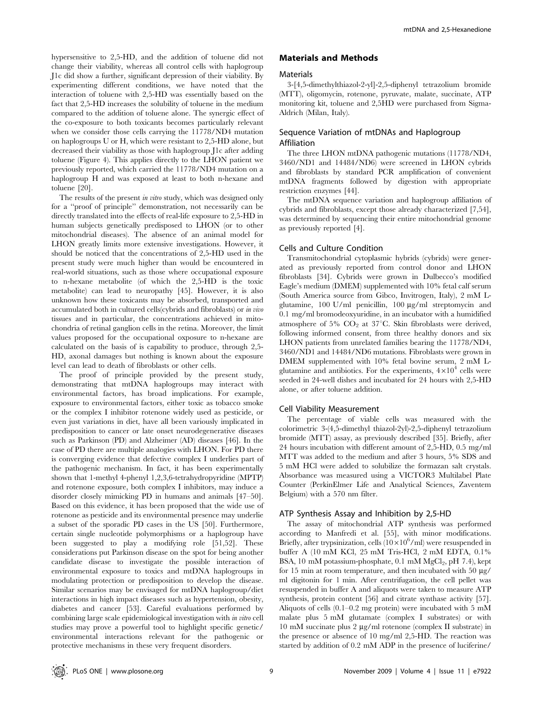hypersensitive to 2,5-HD, and the addition of toluene did not change their viability, whereas all control cells with haplogroup J1c did show a further, significant depression of their viability. By experimenting different conditions, we have noted that the interaction of toluene with 2,5-HD was essentially based on the fact that 2,5-HD increases the solubility of toluene in the medium compared to the addition of toluene alone. The synergic effect of the co-exposure to both toxicants becomes particularly relevant when we consider those cells carrying the 11778/ND4 mutation on haplogroups U or H, which were resistant to 2,5-HD alone, but decreased their viability as those with haplogroup J1c after adding toluene (Figure 4). This applies directly to the LHON patient we previously reported, which carried the 11778/ND4 mutation on a haplogroup H and was exposed at least to both n-hexane and toluene [20].

The results of the present in vitro study, which was designed only for a ''proof of principle'' demonstration, not necessarily can be directly translated into the effects of real-life exposure to 2,5-HD in human subjects genetically predisposed to LHON (or to other mitochondrial diseases). The absence of an animal model for LHON greatly limits more extensive investigations. However, it should be noticed that the concentrations of 2,5-HD used in the present study were much higher than would be encountered in real-world situations, such as those where occupational exposure to n-hexane metabolite (of which the 2,5-HD is the toxic metabolite) can lead to neuropathy [45]. However, it is also unknown how these toxicants may be absorbed, transported and accumulated both in cultured cells(cybrids and fibroblasts) or in vivo tissues and in particular, the concentrations achieved in mitochondria of retinal ganglion cells in the retina. Moreover, the limit values proposed for the occupational oxposure to n-hexane are calculated on the basis of is capability to produce, through 2,5- HD, axonal damages but nothing is known about the exposure level can lead to death of fibroblasts or other cells.

The proof of principle provided by the present study, demonstrating that mtDNA haplogroups may interact with environmental factors, has broad implications. For example, exposure to environmental factors, either toxic as tobacco smoke or the complex I inhibitor rotenone widely used as pesticide, or even just variations in diet, have all been variously implicated in predisposition to cancer or late onset neurodegenerative diseases such as Parkinson (PD) and Alzheimer (AD) diseases [46]. In the case of PD there are multiple analogies with LHON. For PD there is converging evidence that defective complex I underlies part of the pathogenic mechanism. In fact, it has been experimentally shown that 1-methyl 4-phenyl 1,2,3,6-tetrahydropyridine (MPTP) and rotenone exposure, both complex I inhibitors, may induce a disorder closely mimicking PD in humans and animals [47–50]. Based on this evidence, it has been proposed that the wide use of rotenone as pesticide and its environmental presence may underlie a subset of the sporadic PD cases in the US [50]. Furthermore, certain single nucleotide polymorphisms or a haplogroup have been suggested to play a modifying role [51,52]. These considerations put Parkinson disease on the spot for being another candidate disease to investigate the possible interaction of environmental exposure to toxics and mtDNA haplogroups in modulating protection or predisposition to develop the disease. Similar scenarios may be envisaged for mtDNA haplogroup/diet interactions in high impact diseases such as hypertension, obesity, diabetes and cancer [53]. Careful evaluations performed by combining large scale epidemiological investigation with in vitro cell studies may prove a powerful tool to highlight specific genetic/ environmental interactions relevant for the pathogenic or protective mechanisms in these very frequent disorders.

# Materials and Methods

#### **Materials**

3-[4,5-dimethylthiazol-2-yl]-2,5-diphenyl tetrazolium bromide (MTT), oligomycin, rotenone, pyruvate, malate, succinate, ATP monitoring kit, toluene and 2,5HD were purchased from Sigma-Aldrich (Milan, Italy).

# Sequence Variation of mtDNAs and Haplogroup Affiliation

The three LHON mtDNA pathogenic mutations (11778/ND4, 3460/ND1 and 14484/ND6) were screened in LHON cybrids and fibroblasts by standard PCR amplification of convenient mtDNA fragments followed by digestion with appropriate restriction enzymes [44].

The mtDNA sequence variation and haplogroup affiliation of cybrids and fibroblasts, except those already characterized [7,54], was determined by sequencing their entire mitochondrial genome as previously reported [4].

## Cells and Culture Condition

Transmitochondrial cytoplasmic hybrids (cybrids) were generated as previously reported from control donor and LHON fibroblasts [34]. Cybrids were grown in Dulbecco's modified Eagle's medium (DMEM) supplemented with 10% fetal calf serum (South America source from Gibco, Invitrogen, Italy), 2 mM Lglutamine,  $100 \text{ U/ml}$  penicillin,  $100 \text{ µg/ml}$  streptomycin and 0.1 mg/ml bromodeoxyuridine, in an incubator with a humidified atmosphere of 5%  $CO<sub>2</sub>$  at 37°C. Skin fibroblasts were derived, following informed consent, from three healthy donors and six LHON patients from unrelated families bearing the 11778/ND4, 3460/ND1 and 14484/ND6 mutations. Fibroblasts were grown in DMEM supplemented with 10% fetal bovine serum, 2 mM Lglutamine and antibiotics. For the experiments,  $4 \times 10^4$  cells were seeded in 24-well dishes and incubated for 24 hours with 2,5-HD alone, or after toluene addition.

#### Cell Viability Measurement

The percentage of viable cells was measured with the colorimetric 3-(4,5-dimethyl thiazol-2yl)-2,5-diphenyl tetrazolium bromide (MTT) assay, as previously described [35]. Briefly, after 24 hours incubation with different amount of 2,5-HD, 0.5 mg/ml MTT was added to the medium and after 3 hours, 5% SDS and 5 mM HCl were added to solubilize the formazan salt crystals. Absorbance was measured using a VICTOR3 Multilabel Plate Counter (PerkinElmer Life and Analytical Sciences, Zaventem Belgium) with a 570 nm filter.

#### ATP Synthesis Assay and Inhibition by 2,5-HD

The assay of mitochondrial ATP synthesis was performed according to Manfredi et al. [55], with minor modifications. Briefly, after trypsinization, cells  $(10 \times 10^6$ /ml) were resuspended in buffer A (10 mM KCl, 25 mM Tris-HCl, 2 mM EDTA, 0.1% BSA, 10 mM potassium-phosphate, 0.1 mM  $MgCl<sub>2</sub>$ , pH 7.4), kept for 15 min at room temperature, and then incubated with 50  $\mu$ g/ ml digitonin for 1 min. After centrifugation, the cell pellet was resuspended in buffer A and aliquots were taken to measure ATP synthesis, protein content [56] and citrate synthase activity [57]. Aliquots of cells (0.1–0.2 mg protein) were incubated with 5 mM malate plus 5 mM glutamate (complex I substrates) or with  $10 \text{ mM}$  succinate plus  $2 \mu g/ml$  rotenone (complex II substrate) in the presence or absence of 10 mg/ml 2,5-HD. The reaction was started by addition of 0.2 mM ADP in the presence of luciferine/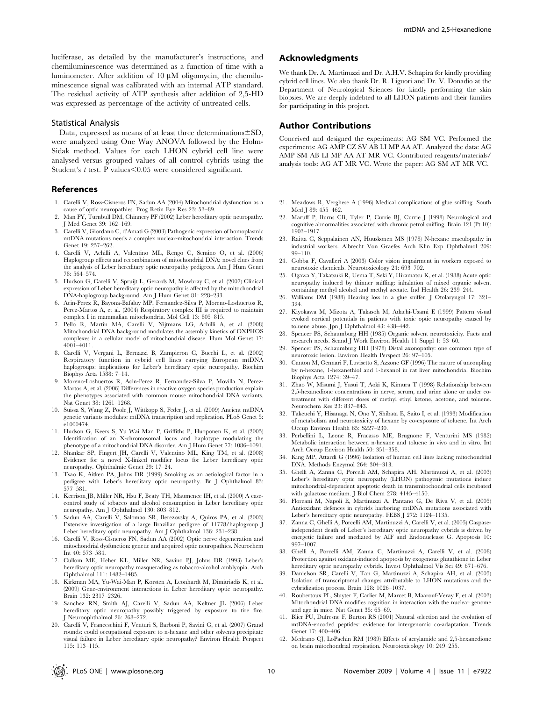luciferase, as detailed by the manufacturer's instructions, and chemiluminescence was determined as a function of time with a luminometer. After addition of  $10 \mu M$  oligomycin, the chemiluminescence signal was calibrated with an internal ATP standard. The residual activity of ATP synthesis after addition of 2,5-HD was expressed as percentage of the activity of untreated cells.

## Statistical Analysis

Data, expressed as means of at least three determinations $\pm$ SD, were analyzed using One Way ANOVA followed by the Holm-Sidak method. Values for each LHON cybrid cell line were analysed versus grouped values of all control cybrids using the Student's  $t$  test. P values $\leq 0.05$  were considered significant.

#### References

- 1. Carelli V, Ross-Cisneros FN, Sadun AA (2004) Mitochondrial dysfunction as a cause of optic neuropathies. Prog Retin Eye Res 23: 53–89.
- 2. Man PY, Turnbull DM, Chinnery PF (2002) Leber hereditary optic neuropathy. J Med Genet 39: 162–169.
- 3. Carelli V, Giordano C, d'Amati G (2003) Pathogenic expression of homoplasmic mtDNA mutations needs a complex nuclear-mitochondrial interaction. Trends Genet 19: 257–262.
- 4. Carelli V, Achilli A, Valentino ML, Rengo C, Semino O, et al. (2006) Haplogroup effects and recombination of mitochondrial DNA: novel clues from the analysis of Leber hereditary optic neuropathy pedigrees. Am J Hum Genet 78: 564–574.
- 5. Hudson G, Carelli V, Spruijt L, Gerards M, Mowbray C, et al. (2007) Clinical expression of Leber hereditary optic neuropathy is affected by the mitochondrial DNA-haplogroup background. Am J Hum Genet 81: 228–233.
- 6. Acin-Perez R, Bayona-Bafaluy MP, Fernandez-Silva P, Moreno-Loshuertos R, Perez-Martos A, et al. (2004) Respiratory complex III is required to maintain complex I in mammalian mitochondria. Mol Cell 13: 805–815.
- 7. Pello R, Martin MA, Carelli V, Nijtmans LG, Achilli A, et al. (2008) Mitochondrial DNA background modulates the assembly kinetics of OXPHOS complexes in a cellular model of mitochondrial disease. Hum Mol Genet 17: 4001–4011.
- 8. Carelli V, Vergani L, Bernazzi B, Zampieron C, Bucchi L, et al. (2002) Respiratory function in cybrid cell lines carrying European mtDNA haplogroups: implications for Leber's hereditary optic neuropathy. Biochim Biophys Acta 1588: 7–14.
- 9. Moreno-Loshuertos R, Acin-Perez R, Fernandez-Silva P, Movilla N, Perez-Martos A, et al. (2006) Differences in reactive oxygen species production explain the phenotypes associated with common mouse mitochondrial DNA variants. Nat Genet 38: 1261–1268.
- 10. Suissa S, Wang Z, Poole J, Wittkopp S, Feder J, et al. (2009) Ancient mtDNA genetic variants modulate mtDNA transcription and replication. PLoS Genet 5: e1000474
- 11. Hudson G, Keers S, Yu Wai Man P, Griffiths P, Huoponen K, et al. (2005) Identification of an X-chromosomal locus and haplotype modulating the phenotype of a mitochondrial DNA disorder. Am J Hum Genet 77: 1086–1091.
- 12. Shankar SP, Fingert JH, Carelli V, Valentino ML, King TM, et al. (2008) Evidence for a novel X-linked modifier locus for Leber hereditary optic neuropathy. Ophthalmic Genet 29: 17–24.
- 13. Tsao K, Aitken PA, Johns DR (1999) Smoking as an aetiological factor in a pedigree with Leber's hereditary optic neuropathy. Br J Ophthalmol 83: 577–581.
- 14. Kerrison JB, Miller NR, Hsu F, Beaty TH, Maumenee IH, et al. (2000) A casecontrol study of tobacco and alcohol consumption in Leber hereditary optic neuropathy. Am J Ophthalmol 130: 803–812.
- 15. Sadun AA, Carelli V, Salomao SR, Berezovsky A, Quiros PA, et al. (2003) Extensive investigation of a large Brazilian pedigree of 11778/haplogroup J Leber hereditary optic neuropathy. Am J Ophthalmol 136: 231–238.
- 16. Carelli V, Ross-Cisneros FN, Sadun AA (2002) Optic nerve degeneration and mitochondrial dysfunction: genetic and acquired optic neuropathies. Neurochem Int 40: 573–584.
- 17. Cullom ME, Heher KL, Miller NR, Savino PJ, Johns DR (1993) Leber's hereditary optic neuropathy masquerading as tobacco-alcohol amblyopia. Arch Ophthalmol 111: 1482–1485.
- 18. Kirkman MA, Yu-Wai-Man P, Korsten A, Leonhardt M, Dimitriadis K, et al. (2009) Gene-environment interactions in Leber hereditary optic neuropathy. Brain 132: 2317–2326.
- 19. Sanchez RN, Smith AJ, Carelli V, Sadun AA, Keltner JL (2006) Leber hereditary optic neuropathy possibly triggered by exposure to tire fire. J Neuroophthalmol 26: 268–272.
- 20. Carelli V, Franceschini F, Venturi S, Barboni P, Savini G, et al. (2007) Grand rounds: could occupational exposure to n-hexane and other solvents precipitate visual failure in Leber hereditary optic neuropathy? Environ Health Perspect 115: 113–115.

# Acknowledgments

We thank Dr. A. Martinuzzi and Dr. A.H.V. Schapira for kindly providing cybrid cell lines. We also thank Dr. R. Liguori and Dr. V. Donadio at the Department of Neurological Sciences for kindly performing the skin biopsies. We are deeply indebted to all LHON patients and their families for participating in this project.

## Author Contributions

Conceived and designed the experiments: AG SM VC. Performed the experiments: AG AMP CZ SV AB LI MP AA AT. Analyzed the data: AG AMP SM AB LI MP AA AT MR VC. Contributed reagents/materials/ analysis tools: AG AT MR VC. Wrote the paper: AG SM AT MR VC.

- 21. Meadows R, Verghese A (1996) Medical complications of glue sniffing. South Med J 89: 455–462.
- 22. Maruff P, Burns CB, Tyler P, Currie BJ, Currie J (1998) Neurological and cognitive abnormalities associated with chronic petrol sniffing. Brain 121 (Pt 10): 1903–1917.
- 23. Raitta C, Seppalainen AN, Huuskonen MS (1978) N-hexane maculopathy in industrial workers. Albrecht Von Graefes Arch Klin Exp Ophthalmol 209: 99–110.
- 24. Gobba F, Cavalleri A (2003) Color vision impairment in workers exposed to neurotoxic chemicals. Neurotoxicology 24: 693–702.
- 25. Ogawa Y, Takatsuki R, Uema T, Seki Y, Hiramatsu K, et al. (1988) Acute optic neuropathy induced by thinner sniffing: inhalation of mixed organic solvent containing methyl alcohol and methyl acetate. Ind Health 26: 239–244.
- 26. Williams DM (1988) Hearing loss in a glue sniffer. J Otolaryngol 17: 321– 324.
- 27. Kiyokawa M, Mizota A, Takasoh M, Adachi-Usami E (1999) Pattern visual evoked cortical potentials in patients with toxic optic neuropathy caused by toluene abuse. Jpn J Ophthalmol 43: 438–442.
- 28. Spencer PS, Schaumburg HH (1985) Organic solvent neurotoxicity. Facts and research needs. Scand J Work Environ Health 11 Suppl 1: 53–60.
- 29. Spencer PS, Schaumburg HH (1978) Distal axonopathy: one common type of neurotoxic lesion. Environ Health Perspect 26: 97–105.
- 30. Canton M, Gennari F, Luvisetto S, Azzone GF (1996) The nature of uncoupling by n-hexane, 1-hexanethiol and 1-hexanol in rat liver mitochondria. Biochim Biophys Acta 1274: 39–47.
- 31. Zhao W, Misumi J, Yasui T, Aoki K, Kimura T (1998) Relationship between 2,5-hexanedione concentrations in nerve, serum, and urine alone or under cotreatment with different doses of methyl ethyl ketone, acetone, and toluene. Neurochem Res 23: 837–843.
- 32. Takeuchi Y, Hisanaga N, Ono Y, Shibata E, Saito I, et al. (1993) Modification of metabolism and neurotoxicity of hexane by co-exposure of toluene. Int Arch Occup Environ Health 65: S227–230.
- 33. Perbellini L, Leone R, Fracasso ME, Brugnone F, Venturini MS (1982) Metabolic interaction between n-hexane and toluene in vivo and in vitro. Int Arch Occup Environ Health 50: 351–358.
- 34. King MP, Attardi G (1996) Isolation of human cell lines lacking mitochondrial DNA. Methods Enzymol 264: 304–313.
- 35. Ghelli A, Zanna C, Porcelli AM, Schapira AH, Martinuzzi A, et al. (2003) Leber's hereditary optic neuropathy (LHON) pathogenic mutations induce mitochondrial-dependent apoptotic death in transmitochondrial cells incubated with galactose medium. J Biol Chem 278: 4145–4150.
- 36. Floreani M, Napoli E, Martinuzzi A, Pantano G, De Riva V, et al. (2005) Antioxidant defences in cybrids harboring mtDNA mutations associated with Leber's hereditary optic neuropathy. FEBS J 272: 1124–1135.
- 37. Zanna C, Ghelli A, Porcelli AM, Martinuzzi A, Carelli V, et al. (2005) Caspaseindependent death of Leber's hereditary optic neuropathy cybrids is driven by energetic failure and mediated by AIF and Endonuclease G. Apoptosis 10: 997–1007.
- 38. Ghelli A, Porcelli AM, Zanna C, Martinuzzi A, Carelli V, et al. (2008) Protection against oxidant-induced apoptosis by exogenous glutathione in Leber hereditary optic neuropathy cybrids. Invest Ophthalmol Vis Sci 49: 671–676.
- 39. Danielson SR, Carelli V, Tan G, Martinuzzi A, Schapira AH, et al. (2005) Isolation of transcriptomal changes attributable to LHON mutations and the cybridization process. Brain 128: 1026–1037.
- 40. Roubertoux PL, Sluyter F, Carlier M, Marcet B, Maarouf-Veray F, et al. (2003) Mitochondrial DNA modifies cognition in interaction with the nuclear genome and age in mice. Nat Genet 35: 65–69.
- 41. Blier PU, Dufresne F, Burton RS (2001) Natural selection and the evolution of mtDNA-encoded peptides: evidence for intergenomic co-adaptation. Trends Genet 17: 400–406.
- 42. Medrano CJ, LoPachin RM (1989) Effects of acrylamide and 2,5-hexanedione on brain mitochondrial respiration. Neurotoxicology 10: 249–255.